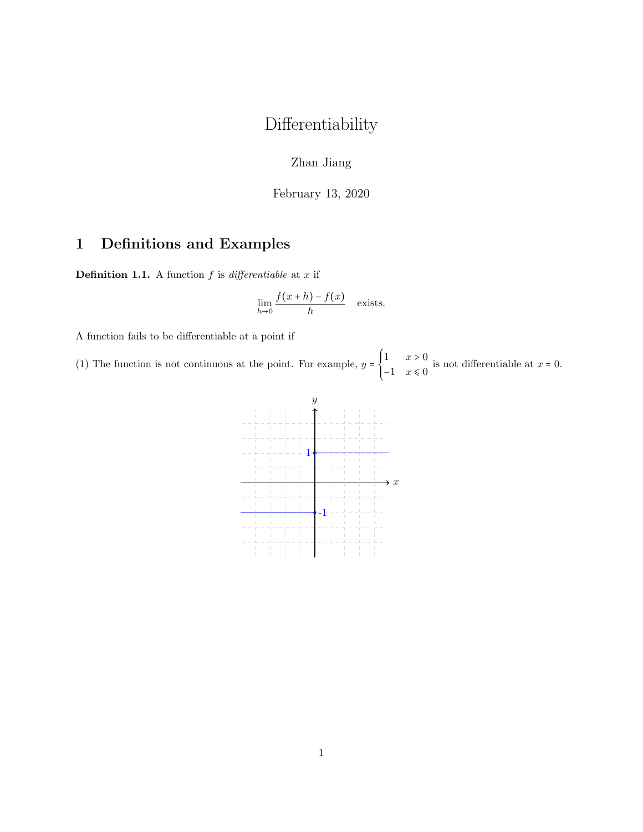## Differentiability

Zhan Jiang

February 13, 2020

## 1 Definitions and Examples

**Definition 1.1.** A function  $f$  is differentiable at  $x$  if

$$
\lim_{h \to 0} \frac{f(x+h) - f(x)}{h}
$$
 exists.

A function fails to be differentiable at a point if

(1) The function is not continuous at the point. For example,  $y = \left\{ \begin{array}{c} 0 & \text{if } x \in \mathbb{R}^n, \\ 0 & \text{if } x \in \mathbb{R}^n, \\ 0 & \text{if } x \in \mathbb{R}^n, \end{array} \right.$ 1  $x > 0$  $\begin{cases} 1 & x \leq 0 \\ -1 & x \leq 0 \end{cases}$  is not differentiable at  $x = 0$ .

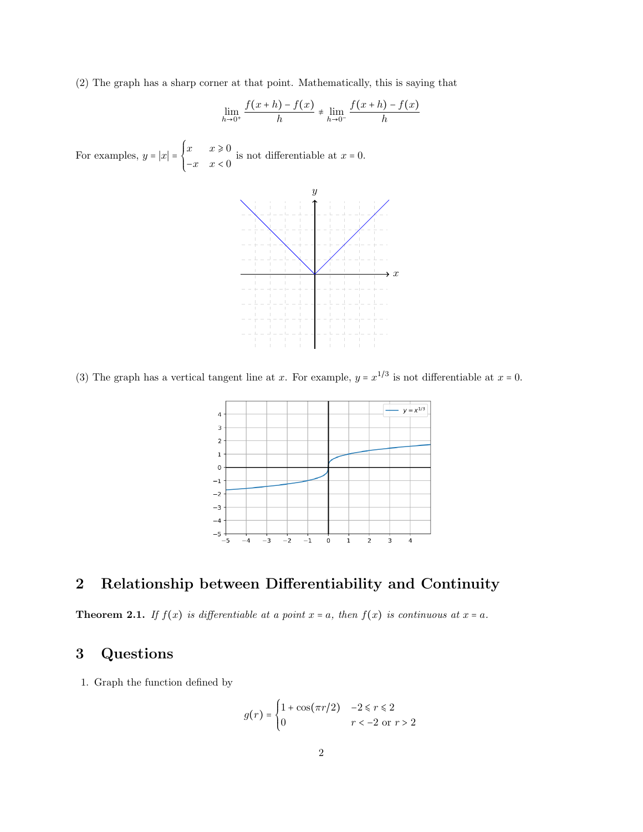(2) The graph has a sharp corner at that point. Mathematically, this is saying that

$$
\lim_{h \to 0^+} \frac{f(x+h) - f(x)}{h} \neq \lim_{h \to 0^-} \frac{f(x+h) - f(x)}{h}
$$

For examples,  $y = |x| = \begin{cases} \end{cases}$  $x \quad x \geqslant 0$  $\begin{cases}\n x & x > 0 \\
-x & x < 0\n\end{cases}$  is not differentiable at  $x = 0$ .



(3) The graph has a vertical tangent line at x. For example,  $y = x^{1/3}$  is not differentiable at  $x = 0$ .



## 2 Relationship between Differentiability and Continuity

**Theorem 2.1.** If  $f(x)$  is differentiable at a point  $x = a$ , then  $f(x)$  is continuous at  $x = a$ .

## 3 Questions

1. Graph the function defined by

$$
g(r) = \begin{cases} 1 + \cos(\pi r/2) & -2 \le r \le 2 \\ 0 & r < -2 \text{ or } r > 2 \end{cases}
$$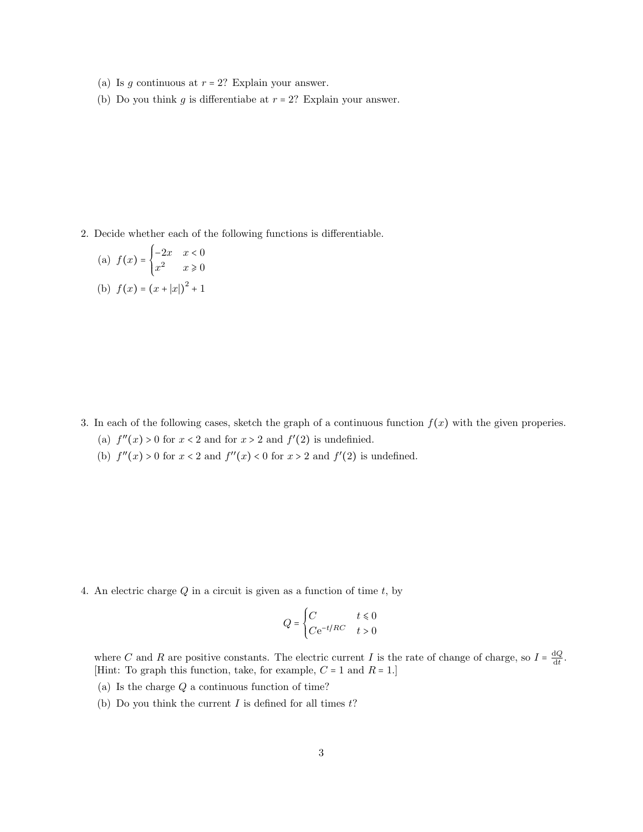- (a) Is g continuous at  $r = 2$ ? Explain your answer.
- (b) Do you think g is differentiabe at  $r = 2$ ? Explain your answer.

2. Decide whether each of the following functions is differentiable.

(a) 
$$
f(x) = \begin{cases} -2x & x < 0 \\ x^2 & x \ge 0 \end{cases}
$$
  
\n(b)  $f(x) = (x + |x|)^2 + 1$ 

- 3. In each of the following cases, sketch the graph of a continuous function  $f(x)$  with the given properies.
	- (a)  $f''(x) > 0$  for  $x < 2$  and for  $x > 2$  and  $f'(2)$  is undefinied.
	- (b)  $f''(x) > 0$  for  $x < 2$  and  $f''(x) < 0$  for  $x > 2$  and  $f'(2)$  is undefined.

4. An electric charge  $Q$  in a circuit is given as a function of time  $t$ , by

$$
Q=\begin{cases} C & t\leq 0\\ C\mathrm{e}^{-t/RC} & t>0\end{cases}
$$

where C and R are positive constants. The electric current I is the rate of change of charge, so  $I = \frac{dQ}{dt}$  $\frac{1Q}{dt}$ . [Hint: To graph this function, take, for example,  $C = 1$  and  $R = 1$ .]

- (a) Is the charge  $Q$  a continuous function of time?
- (b) Do you think the current  $I$  is defined for all times  $t$ ?